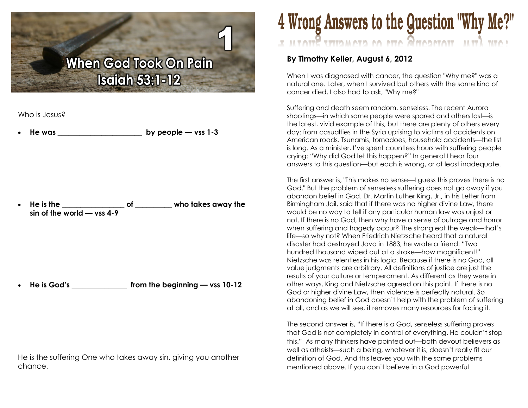## **When God Took On Pain Isaiah 53:1-12**

Who is Jesus?

He was  $-$  by people — vss 1-3

· He is the \_\_\_\_\_\_\_\_\_\_\_\_\_\_\_\_\_ of \_\_\_\_\_\_\_\_\_\_ who takes away the sin of the world — vss 4-9

· He is God's \_\_\_\_\_\_\_\_\_\_\_\_\_\_\_ from the beginning — vss 10-12

He is the suffering One who takes away sin, giving you another chance.

## 4 Wrong Answers to the Question "Why Me?" LOUG LEU TOTAGONG OTTO DE GEOMOTIC HELP

## By Timothy Keller, August 6, 2012

When I was diagnosed with cancer, the question "Why me?" was a natural one. Later, when I survived but others with the same kind of cancer died, I also had to ask, "Why me?"

Suffering and death seem random, senseless. The recent Aurora shootings—in which some people were spared and others lost—is the latest, vivid example of this, but there are plenty of others every day: from casualties in the Syria uprising to victims of accidents on American roads. Tsunamis, tornadoes, household accidents—the list is long. As a minister, I've spent countless hours with suffering people crying: "Why did God let this happen?" In general I hear four answers to this question—but each is wrong, or at least inadequate.

The first answer is, "This makes no sense—I guess this proves there is no God." But the problem of senseless suffering does not go away if you abandon belief in God. Dr. Martin Luther King, Jr., in his Letter from Birmingham Jail, said that if there was no higher divine Law, there would be no way to tell if any particular human law was unjust or not. If there is no God, then why have a sense of outrage and horror when suffering and tragedy occur? The strong eat the weak—that's life—so why not? When Friedrich Nietzsche heard that a natural disaster had destroyed Java in 1883, he wrote a friend: "Two hundred thousand wiped out at a stroke—how magnificent!" Nietzsche was relentless in his logic. Because if there is no God, all value judgments are arbitrary. All definitions of justice are just the results of your culture or temperament. As different as they were in other ways, King and Nietzsche agreed on this point. If there is no God or higher divine Law, then violence is perfectly natural. So abandoning belief in God doesn't help with the problem of suffering at all, and as we will see, it removes many resources for facing it.

The second answer is, "If there is a God, senseless suffering proves that God is not completely in control of everything. He couldn't stop this." As many thinkers have pointed out—both devout believers as well as atheists—such a being, whatever it is, doesn't really fit our definition of God. And this leaves you with the same problems mentioned above. If you don't believe in a God powerful